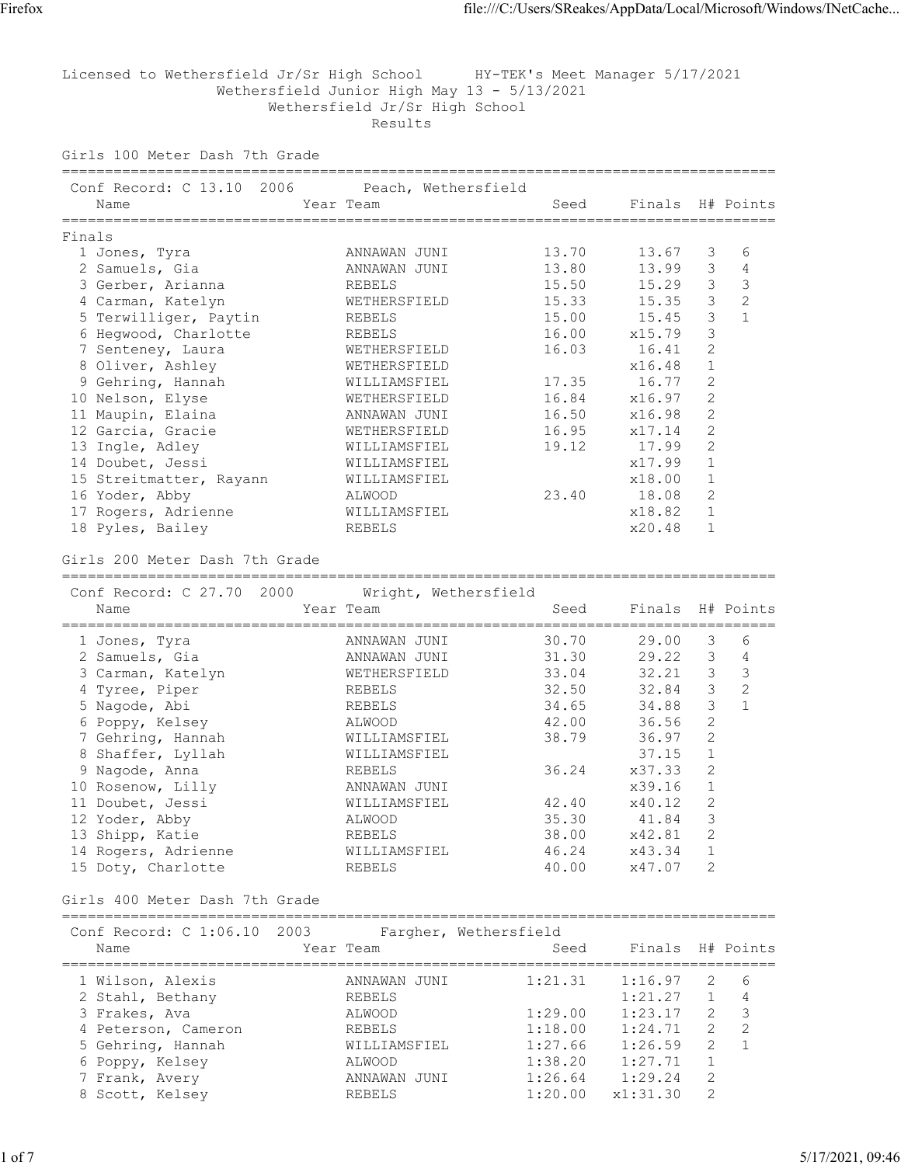Licensed to Wethersfield Jr/Sr High School HY-TEK's Meet Manager 5/17/2021 Wethersfield Junior High May 13 - 5/13/2021 Wethersfield Jr/Sr High School Results

===================================================================================

Girls 100 Meter Dash 7th Grade

| 2006<br>Conf Record: C 13.10      | Peach, Wethersfield            |                    |                                   |                |                   |
|-----------------------------------|--------------------------------|--------------------|-----------------------------------|----------------|-------------------|
| Name                              | Year Team                      | Seed               | Finals                            |                | H# Points         |
|                                   |                                |                    | ================================= |                |                   |
| Finals                            |                                |                    |                                   |                |                   |
| 1 Jones, Tyra<br>2 Samuels, Gia   | ANNAWAN JUNI<br>ANNAWAN JUNI   | 13.70<br>13.80     | 13.67<br>13.99                    | 3<br>3         | 6<br>4            |
| 3 Gerber, Arianna                 |                                | 15.50              | 15.29                             | 3              | $\mathfrak{Z}$    |
| 4 Carman, Katelyn                 | REBELS<br>WETHERSFIELD         | 15.33              | 15.35                             | 3              | 2                 |
| 5 Terwilliger, Paytin             | REBELS                         | 15.00              | 15.45                             | 3              | $\mathbf{1}$      |
| 6 Hegwood, Charlotte              | REBELS                         | 16.00              | x15.79                            | 3              |                   |
| 7 Senteney, Laura                 | WETHERSFIELD                   | 16.03              | 16.41                             | 2              |                   |
| 8 Oliver, Ashley                  | WETHERSFIELD                   |                    | x16.48                            | 1              |                   |
| 9 Gehring, Hannah                 | WILLIAMSFIEL                   | 17.35              | 16.77                             | $\overline{2}$ |                   |
| 10 Nelson, Elyse                  | WETHERSFIELD                   | 16.84              | x16.97                            | 2              |                   |
| 11 Maupin, Elaina                 | ANNAWAN JUNI                   | 16.50              | x16.98                            | $\mathbf{2}$   |                   |
| 12 Garcia, Gracie                 | WETHERSFIELD                   | 16.95              | x17.14                            | 2              |                   |
| 13 Ingle, Adley                   | WILLIAMSFIEL                   | 19.12              | 17.99                             | 2              |                   |
| 14 Doubet, Jessi                  | WILLIAMSFIEL                   |                    | x17.99                            | 1              |                   |
| 15 Streitmatter, Rayann           | WILLIAMSFIEL                   |                    | x18.00                            | $\mathbf 1$    |                   |
| 16 Yoder, Abby                    | ALWOOD                         | 23.40              | 18.08                             | 2              |                   |
| 17 Rogers, Adrienne               | WILLIAMSFIEL                   |                    | x18.82                            | $\mathbf 1$    |                   |
| 18 Pyles, Bailey                  | REBELS                         |                    | x20.48                            | 1              |                   |
|                                   |                                |                    |                                   |                |                   |
| Girls 200 Meter Dash 7th Grade    |                                |                    |                                   |                |                   |
| -------------------------------   |                                |                    |                                   |                |                   |
| Conf Record: C 27.70 2000         | Wright, Wethersfield           |                    |                                   |                |                   |
| Name<br>==================        | Year Team<br>================= | Seed               | Finals                            | ======         | H# Points         |
| 1 Jones, Tyra                     | ANNAWAN JUNI                   | 30.70              | 29.00                             | 3              | 6                 |
| 2 Samuels, Gia                    | ANNAWAN JUNI                   | 31.30              | 29.22                             | 3              | $\overline{4}$    |
| 3 Carman, Katelyn                 | WETHERSFIELD                   | 33.04              | 32.21                             | $\mathfrak{Z}$ | $\mathfrak{Z}$    |
| 4 Tyree, Piper                    | REBELS                         | 32.50              | 32.84                             | 3              | $\overline{c}$    |
| 5 Nagode, Abi                     | REBELS                         | 34.65              | 34.88                             | 3              | $\mathbf{1}$      |
| 6 Poppy, Kelsey                   | ALWOOD                         | 42.00              | 36.56                             | 2              |                   |
| 7 Gehring, Hannah                 | WILLIAMSFIEL                   | 38.79              | 36.97                             | $\overline{2}$ |                   |
| 8 Shaffer, Lyllah                 | WILLIAMSFIEL                   |                    | 37.15                             | 1              |                   |
| Nagode, Anna<br>9                 | <b>REBELS</b>                  | 36.24              | x37.33                            | $\overline{2}$ |                   |
| 10 Rosenow, Lilly                 | ANNAWAN JUNI                   |                    | x39.16                            | 1              |                   |
| 11 Doubet, Jessi                  | WILLIAMSFIEL                   | 42.40              | x40.12                            | $\mathbf{2}$   |                   |
| 12 Yoder, Abby                    | ALWOOD                         | 35.30              | 41.84                             | 3              |                   |
| 13 Shipp, Katie                   | <b>REBELS</b>                  | 38.00              | x42.81                            | $\overline{2}$ |                   |
| 14 Rogers, Adrienne               | WILLIAMSFIEL                   | 46.24              | x43.34                            | 1              |                   |
| 15 Doty, Charlotte                | REBELS                         | 40.00              | x47.07                            | 2              |                   |
| Girls 400 Meter Dash 7th Grade    |                                |                    |                                   |                |                   |
|                                   |                                |                    |                                   |                |                   |
| Conf Record: C 1:06.10 2003       | Fargher, Wethersfield          |                    |                                   |                |                   |
| Name                              | Year Team                      | Seed               | Finals H# Points                  |                |                   |
|                                   |                                |                    | =========                         |                |                   |
| 1 Wilson, Alexis                  | ANNAWAN JUNI                   | 1:21.31            | 1:16.97                           | 2              | 6                 |
| 2 Stahl, Bethany                  | REBELS                         |                    | 1:21.27                           | $\mathbf 1$    | 4                 |
| 3 Frakes, Ava                     | ALWOOD                         | 1:29.00            | 1:23.17                           | 2              | 3                 |
| 4 Peterson, Cameron               | REBELS                         | 1:18.00            | 1:24.71                           | 2<br>2         | 2<br>$\mathbf{1}$ |
| 5 Gehring, Hannah                 | WILLIAMSFIEL                   | 1:27.66            | 1:26.59                           | 1              |                   |
| 6 Poppy, Kelsey<br>7 Frank, Avery | ALWOOD<br>ANNAWAN JUNI         | 1:38.20<br>1:26.64 | 1:27.71<br>1:29.24                | 2              |                   |
| 8 Scott, Kelsey                   | REBELS                         | 1:20.00            | x1:31.30                          | 2              |                   |
|                                   |                                |                    |                                   |                |                   |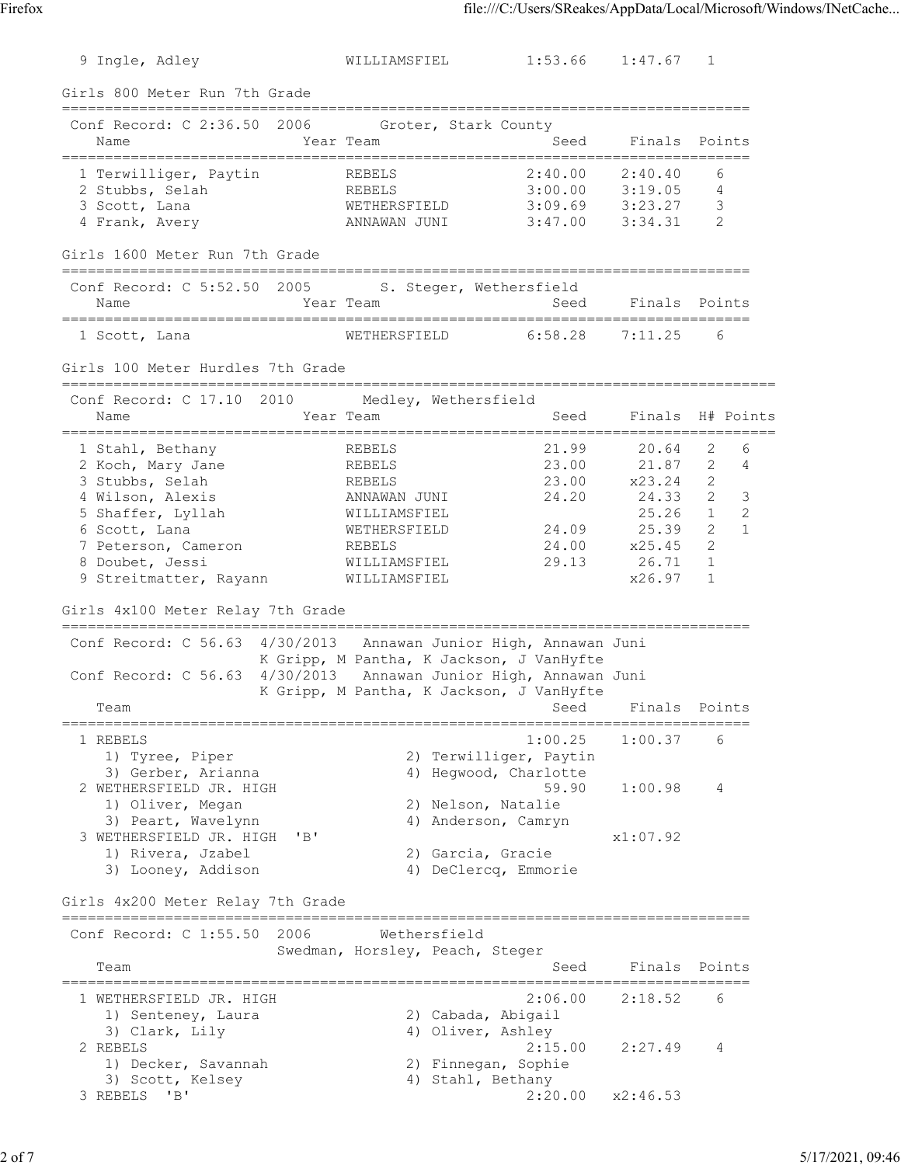| 9 Ingle, Adley                                                                                                                                                                         | WILLIAMSFIEL                                                                                                         | $1:53.66$ $1:47.67$                                                                                   |                                                                                  | 1                                                                                                     |
|----------------------------------------------------------------------------------------------------------------------------------------------------------------------------------------|----------------------------------------------------------------------------------------------------------------------|-------------------------------------------------------------------------------------------------------|----------------------------------------------------------------------------------|-------------------------------------------------------------------------------------------------------|
| Girls 800 Meter Run 7th Grade                                                                                                                                                          |                                                                                                                      |                                                                                                       |                                                                                  |                                                                                                       |
| =========================<br>Conf Record: C 2:36.50 2006<br>Name                                                                                                                       | Groter, Stark County<br>Year Team                                                                                    | Seed                                                                                                  | Finals                                                                           | Points                                                                                                |
| 1 Terwilliger, Paytin<br>2 Stubbs, Selah<br>3 Scott, Lana<br>4 Frank, Avery                                                                                                            | REBELS<br>REBELS<br>WETHERSFIELD<br>ANNAWAN JUNI                                                                     | 2:40.00<br>3:00.00<br>3:09.69<br>3:47.00                                                              | 2:40.40<br>3:19.05<br>3:23.27<br>3:34.31                                         | 6<br>4<br>3<br>2                                                                                      |
| Girls 1600 Meter Run 7th Grade                                                                                                                                                         |                                                                                                                      |                                                                                                       |                                                                                  |                                                                                                       |
| Conf Record: C 5:52.50 2005<br>Name                                                                                                                                                    | S. Steger, Wethersfield<br>Year Team                                                                                 | Seed<br>---------------                                                                               | Finals                                                                           | Points                                                                                                |
| 1 Scott, Lana                                                                                                                                                                          | WETHERSFIELD                                                                                                         | 6:58.28                                                                                               | 7:11.25                                                                          | 6                                                                                                     |
| Girls 100 Meter Hurdles 7th Grade<br>;===================================                                                                                                              |                                                                                                                      | -------------                                                                                         |                                                                                  |                                                                                                       |
| Conf Record: C 17.10 2010<br>Name<br>:========                                                                                                                                         | Medley, Wethersfield<br>Year Team                                                                                    | Seed                                                                                                  | Finals                                                                           | H# Points                                                                                             |
| 1 Stahl, Bethany<br>2 Koch, Mary Jane<br>3 Stubbs, Selah<br>4 Wilson, Alexis<br>5 Shaffer, Lyllah<br>6 Scott, Lana<br>7 Peterson, Cameron<br>8 Doubet, Jessi<br>9 Streitmatter, Rayann | REBELS<br>REBELS<br>REBELS<br>ANNAWAN JUNI<br>WILLIAMSFIEL<br>WETHERSFIELD<br>REBELS<br>WILLIAMSFIEL<br>WILLIAMSFIEL | 21.99<br>23.00<br>23.00<br>24.20<br>24.09<br>24.00<br>29.13                                           | 20.64<br>21.87<br>x23.24<br>24.33<br>25.26<br>25.39<br>x25.45<br>26.71<br>x26.97 | 2<br>6<br>$\mathbf{2}$<br>4<br>2<br>2<br>3<br>2<br>1<br>2<br>$\mathbf{1}$<br>$\overline{2}$<br>1<br>1 |
| Girls 4x100 Meter Relay 7th Grade                                                                                                                                                      |                                                                                                                      |                                                                                                       |                                                                                  |                                                                                                       |
| Conf Record: C 56.63 4/30/2013 Annawan Junior High, Annawan Juni<br>Conf Record: C 56.63 4/30/2013 Annawan Junior High, Annawan Juni<br>Team                                           | K Gripp, M Pantha, K Jackson, J VanHyfte<br>K Gripp, M Pantha, K Jackson, J VanHyfte                                 | Seed                                                                                                  | Finals                                                                           | Points                                                                                                |
| 1 REBELS                                                                                                                                                                               |                                                                                                                      | 1:00.25                                                                                               | 1:00.37                                                                          | 6                                                                                                     |
| 1) Tyree, Piper<br>3) Gerber, Arianna<br>2 WETHERSFIELD JR. HIGH<br>1) Oliver, Megan<br>3) Peart, Wavelynn                                                                             |                                                                                                                      | 2) Terwilliger, Paytin<br>4) Hegwood, Charlotte<br>59.90<br>2) Nelson, Natalie<br>4) Anderson, Camryn | 1:00.98                                                                          | 4                                                                                                     |
| 3 WETHERSFIELD JR. HIGH<br>"B"<br>1) Rivera, Jzabel<br>3) Looney, Addison                                                                                                              |                                                                                                                      | 2) Garcia, Gracie<br>4) DeClercq, Emmorie                                                             | x1:07.92                                                                         |                                                                                                       |
| Girls 4x200 Meter Relay 7th Grade                                                                                                                                                      |                                                                                                                      |                                                                                                       | ==========================                                                       |                                                                                                       |
| Conf Record: C 1:55.50<br>2006<br>Team                                                                                                                                                 | Wethersfield<br>Swedman, Horsley, Peach, Steger                                                                      | Seed                                                                                                  | Finals                                                                           | Points                                                                                                |
| 1 WETHERSFIELD JR. HIGH<br>1) Senteney, Laura                                                                                                                                          |                                                                                                                      | 2:06.00<br>2) Cabada, Abigail                                                                         | 2:18.52                                                                          | 6                                                                                                     |
| 3) Clark, Lily<br>2 REBELS<br>1) Decker, Savannah<br>3) Scott, Kelsey<br>3 REBELS<br>"B"                                                                                               |                                                                                                                      | 4) Oliver, Ashley<br>2:15.00<br>2) Finnegan, Sophie<br>4) Stahl, Bethany<br>2:20.00                   | 2:27.49<br>x2:46.53                                                              | 4                                                                                                     |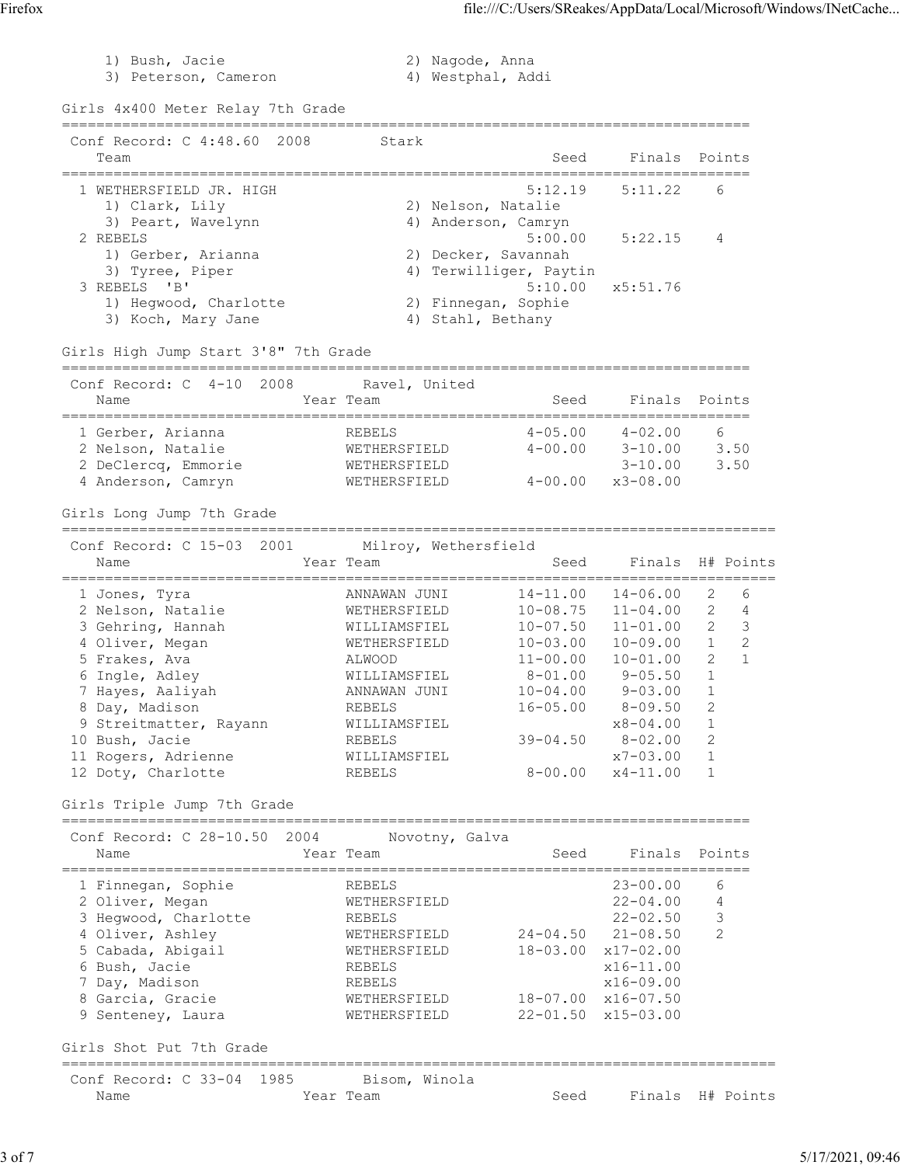3) Peterson, Cameron (4) Westphal, Addi Girls 4x400 Meter Relay 7th Grade ================================================================================ Conf Record: C 4:48.60 2008 Stark Team Seed Finals Points ================================================================================ 1 WETHERSFIELD JR. HIGH 5:12.19 5:11.22 6 1) Clark, Lily 2) Nelson, Natalie 3) Peart, Wavelynn 1988 (2008) 4) Anderson, Camryn 2 REBELS 5:00.00 5:22.15 4 1) Gerber, Arianna 2) Decker, Savannah 3) Tyree, Piper (4) Terwilliger, Paytin 3 REBELS 'B' 5:10.00 x5:51.76 1) Hegwood, Charlotte 2) Finnegan, Sophie 3) Koch, Mary Jane  $4)$  Stahl, Bethany Girls High Jump Start 3'8" 7th Grade ================================================================================ Conf Record: C 4-10 2008 Ravel, United Name Sear Team Seed Finals Points ================================================================================ 1 Gerber, Arianna REBELS 4-05.00 4-02.00 6 2 Nelson, Natalie WETHERSFIELD 4-00.00 3-10.00 3.50 2 DeClercq, Emmorie WETHERSFIELD 3-10.00 3.50 4 Anderson, Camryn WETHERSFIELD 4-00.00 x3-08.00 Girls Long Jump 7th Grade =================================================================================== Conf Record: C 15-03 2001 Milroy, Wethersfield Name Year Team Seed Finals H# Points =================================================================================== 1 Jones, Tyra ANNAWAN JUNI 14-11.00 14-06.00 2 6 2 Nelson, Natalie WETHERSFIELD 10-08.75 11-04.00 2 4 3 Gehring, Hannah WILLIAMSFIEL 10-07.50 11-01.00 2 3 4 Oliver, Megan WETHERSFIELD 10-03.00 10-09.00 1 2 5 Frakes, Ava ALWOOD 11-00.00 10-01.00 2 1 6 Ingle, Adley WILLIAMSFIEL 8-01.00 9-05.50 1 7 Hayes, Aaliyah ANNAWAN JUNI 10-04.00 9-03.00 1 8 Day, Madison REBELS 16-05.00 8-09.50 2 9 Streitmatter, Rayann MILLIAMSFIEL 78-04.00 1 10 Bush, Jacie REBELS 39-04.50 8-02.00 2 11 Rogers, Adrienne WILLIAMSFIEL x7-03.00 1 12 Doty, Charlotte REBELS 8-00.00 x4-11.00 1 Girls Triple Jump 7th Grade ================================================================================ Conf Record: C 28-10.50 2004 Novotny, Galva Name Year Team Seed Finals Points ================================================================================ 1 Finnegan, Sophie REBELS 23-00.00 6 2 Oliver, Megan WETHERSFIELD 22-04.00 4 3 Hegwood, Charlotte **REBELS** 22-02.50 3 4 Oliver, Ashley WETHERSFIELD 24-04.50 21-08.50 2 5 Cabada, Abigail WETHERSFIELD 18-03.00 x17-02.00 6 Bush, Jacie REBELS x16-11.00 7 Day, Madison REBELS x16-09.00 8 Garcia, Gracie WETHERSFIELD 18-07.00 x16-07.50 9 Senteney, Laura WETHERSFIELD 22-01.50 x15-03.00 Girls Shot Put 7th Grade =================================================================================== Conf Record: C 33-04 1985 Bisom, Winola Name Year Team Seed Finals H# Points

1) Bush, Jacie 2) Nagode, Anna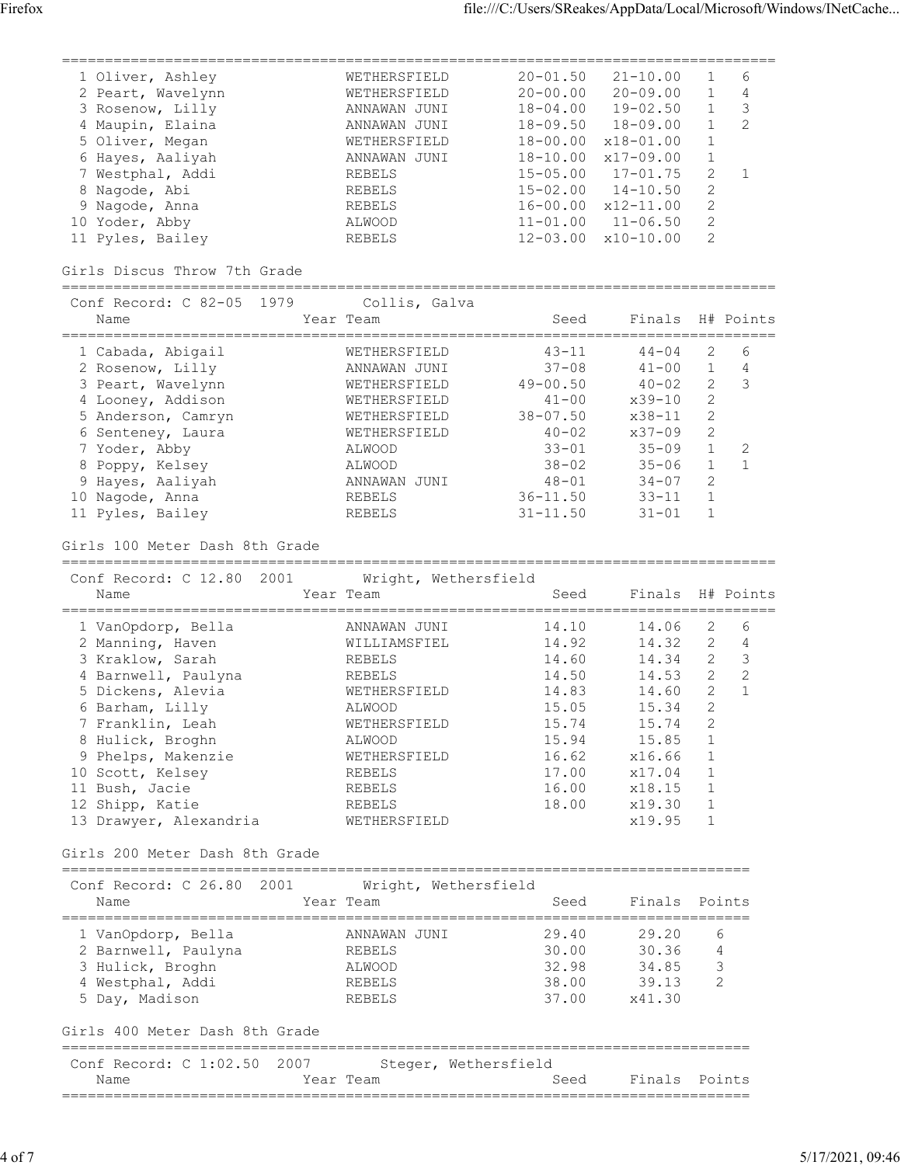| 1 Oliver, Ashley  | WETHERSFIELD    | $20 - 01.50$ | $21 - 10.00$  |               | 6  |
|-------------------|-----------------|--------------|---------------|---------------|----|
| 2 Peart, Wavelynn | WETHERSFIELD    | $20 - 00.00$ | $20 - 09.00$  |               | 4  |
| 3 Rosenow, Lilly  | JUNI<br>ANNAWAN | $18 - 04.00$ | $19 - 02.50$  |               | 3  |
| 4 Maupin, Elaina  | ANNAWAN<br>JUNI | $18 - 09.50$ | $18 - 09.00$  |               | -2 |
| 5 Oliver, Megan   | WETHERSFIELD    | $18 - 00.00$ | $x18 - 01.00$ |               |    |
| 6 Hayes, Aaliyah  | JUNI<br>ANNAWAN | $18 - 10.00$ | $x17 - 09.00$ |               |    |
| 7 Westphal, Addi  | <b>REBELS</b>   | $15 - 05.00$ | $17 - 01.75$  | $\mathcal{L}$ |    |
| 8 Nagode, Abi     | <b>REBELS</b>   | $15 - 02.00$ | $14 - 10.50$  | 2             |    |
| 9 Nagode, Anna    | <b>REBELS</b>   | $16 - 00.00$ | $x12 - 11.00$ | 2             |    |
| 10 Yoder, Abby    | ALWOOD          | $11 - 01.00$ | $11 - 06.50$  | 2             |    |
| 11 Pyles, Bailey  | <b>REBELS</b>   | $12 - 03.00$ | $x10 - 10.00$ | 2             |    |
|                   |                 |              |               |               |    |

Girls Discus Throw 7th Grade

===================================================================================  $Cont$  Record:  $C$  82-05 1979

| UQUIL NEUQEU. U QZEVU LIJIJ<br>Name | CUILLS, GAIVA<br>Year Team | Seed         | Finals     |                | H# Points |
|-------------------------------------|----------------------------|--------------|------------|----------------|-----------|
| 1 Cabada, Abigail                   | WETHERSFIELD               | $43 - 11$    | $44 - 04$  | 2              | 6         |
| 2 Rosenow, Lilly                    | ANNAWAN JUNI               | $37 - 08$    | $41 - 00$  |                | 4         |
| 3 Peart, Wavelynn                   | WETHERSFIELD               | $49 - 00.50$ | $40 - 02$  | $\overline{2}$ | -3        |
| 4 Looney, Addison                   | WETHERSFIELD               | $41 - 00$    | $x39 - 10$ | 2              |           |
| 5 Anderson, Camryn                  | WETHERSFIELD               | $38 - 07.50$ | $x38 - 11$ | 2              |           |
| 6 Senteney, Laura                   | WETHERSFIELD               | $40 - 02$    | $x37 - 09$ | 2              |           |
| 7 Yoder, Abby                       | ALWOOD                     | $33 - 01$    | $35 - 09$  |                | 2         |
| 8 Poppy, Kelsey                     | ALWOOD                     | $38 - 02$    | $35 - 06$  |                |           |
| 9 Hayes, Aaliyah                    | ANNAWAN<br>JUNI            | $48 - 01$    | $34 - 07$  | 2              |           |
| 10 Nagode, Anna                     | <b>REBELS</b>              | $36 - 11.50$ | $33 - 11$  |                |           |
| 11 Pyles, Bailey                    | <b>REBELS</b>              | $31 - 11.50$ | $31 - 01$  |                |           |

Girls 100 Meter Dash 8th Grade

=================================================================================== Conf Record: C 12.80 2001 Wright, Wethersfield

| CONI Record: C 12.80 2001<br>Name | Wright, Wethersfield<br>Year Team | Seed  | Finals H# Points |                |   |
|-----------------------------------|-----------------------------------|-------|------------------|----------------|---|
| 1 VanOpdorp, Bella                | ANNAWAN JUNI                      | 14.10 | 14.06            | 2              | 6 |
| 2 Manning, Haven                  | WILLIAMSFIEL                      | 14.92 | 14.32            | 2              | 4 |
| 3 Kraklow, Sarah                  | REBELS                            | 14.60 | 14.34            | $\overline{2}$ | 3 |
| 4 Barnwell, Paulyna               | REBELS                            | 14.50 | 14.53            | $\overline{2}$ | 2 |
| 5 Dickens, Alevia                 | WETHERSFIELD                      | 14.83 | 14.60            | 2              |   |
| 6 Barham, Lilly                   | ALWOOD                            | 15.05 | 15.34            | $\overline{2}$ |   |
| 7 Franklin, Leah                  | WETHERSFIELD                      | 15.74 | 15.74            | 2              |   |
| 8 Hulick, Broghn                  | ALWOOD                            | 15.94 | 15.85            |                |   |
| 9 Phelps, Makenzie                | WETHERSFIELD                      | 16.62 | x16.66           |                |   |
| 10 Scott, Kelsey                  | REBELS                            | 17.00 | x17.04           | $\overline{1}$ |   |
| 11 Bush, Jacie                    | REBELS                            | 16.00 | x18.15           |                |   |
| 12 Shipp, Katie                   | <b>REBELS</b>                     | 18.00 | x19.30           |                |   |
| 13 Drawyer, Alexandria            | WETHERSFIELD                      |       | x19.95           |                |   |

Girls 200 Meter Dash 8th Grade

================================================================================

| Conf Record: C 26.80 2001                                            | Wright, Wethersfield                    |                         |                         |               |
|----------------------------------------------------------------------|-----------------------------------------|-------------------------|-------------------------|---------------|
| Name                                                                 | Year Team                               | Seed                    | Finals Points           |               |
| 1 VanOpdorp, Bella<br>2 Barnwell, Paulyna<br>3 Hulick, Broghn        | ANNAWAN JUNI<br><b>REBELS</b><br>ALWOOD | 29.40<br>30.00<br>32.98 | 29.20<br>30.36<br>34.85 | 6<br>4<br>3   |
| 4 Westphal, Addi<br>5 Day, Madison<br>Girls 400 Meter Dash 8th Grade | <b>REBELS</b><br><b>REBELS</b>          | 38.00<br>37.00          | 39.13<br>x41.30         | $\mathcal{L}$ |
| Conf Record: C 1:02.50 2007<br>Name                                  | Steger, Wethersfield<br>Year Team       | Seed                    | Finals Points           |               |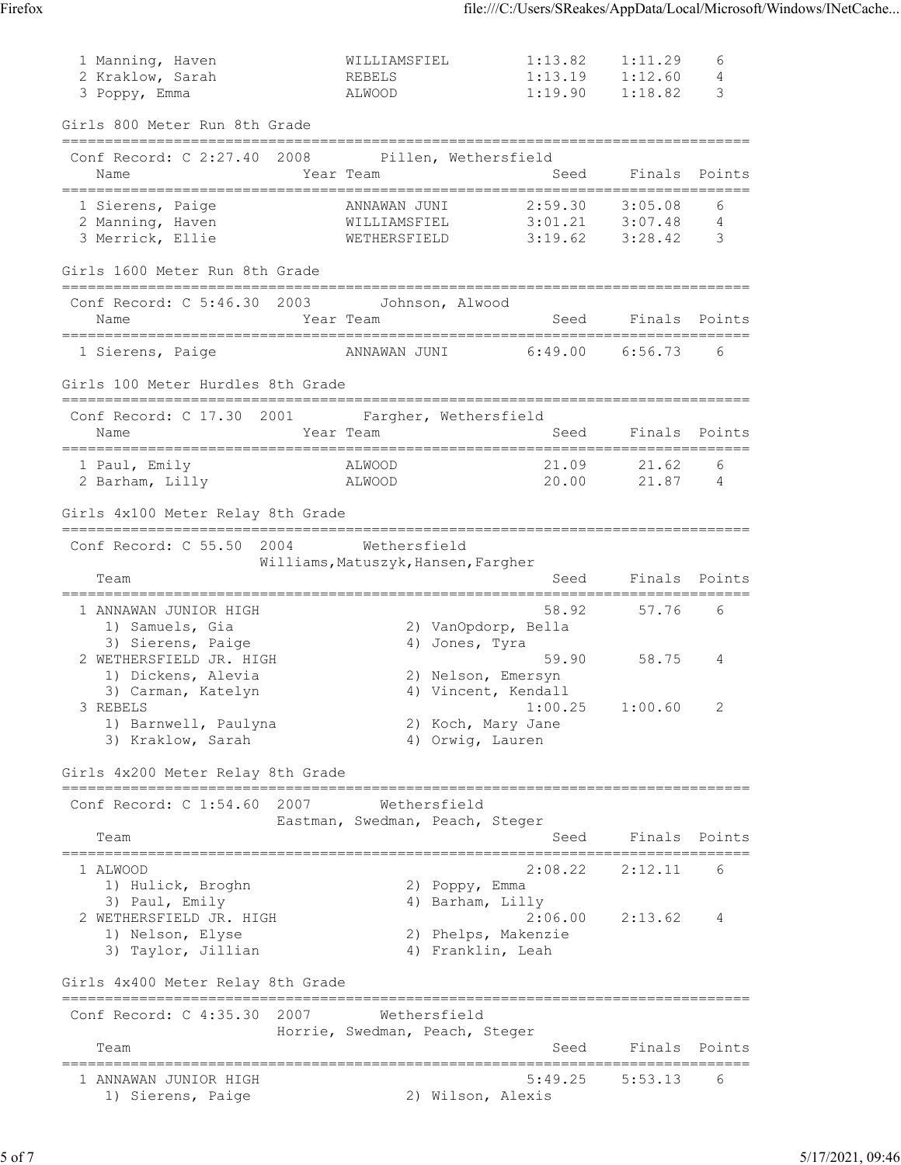| 1 Manning, Haven<br>2 Kraklow, Sarah<br>3 Poppy, Emma                                                    | WILLIAMSFIEL<br>REBELS<br>ALWOOD                    | 1:13.82<br>1:13.19<br>1:19.90                                                             | 1:11.29<br>1:12.60<br>1:18.82         | 6<br>4<br>3   |
|----------------------------------------------------------------------------------------------------------|-----------------------------------------------------|-------------------------------------------------------------------------------------------|---------------------------------------|---------------|
| Girls 800 Meter Run 8th Grade                                                                            |                                                     |                                                                                           |                                       |               |
| =====================<br>Conf Record: C 2:27.40 2008 Pillen, Wethersfield<br>Name                        | Year Team                                           | Seed                                                                                      | Finals<br>==========================  | Points        |
| 1 Sierens, Paige<br>2 Manning, Haven<br>3 Merrick, Ellie                                                 | ANNAWAN JUNI<br>WILLIAMSFIEL<br>WETHERSFIELD        | 2:59.30<br>3:01.21<br>3:19.62                                                             | 3:05.08<br>3:07.48<br>3:28.42         | 6<br>4<br>3   |
| Girls 1600 Meter Run 8th Grade                                                                           |                                                     |                                                                                           |                                       |               |
| Conf Record: C 5:46.30 2003 Johnson, Alwood<br>Name                                                      | Year Team                                           | Seed                                                                                      |                                       | Finals Points |
| 1 Sierens, Paige                                                                                         | ANNAWAN JUNI                                        | 6:49.00                                                                                   | 6:56.73                               | 6             |
| Girls 100 Meter Hurdles 8th Grade                                                                        |                                                     |                                                                                           |                                       |               |
| Conf Record: C 17.30 2001<br>Name                                                                        | Year Team                                           | Fargher, Wethersfield<br>Seed                                                             | Finals                                | Points        |
| 1 Paul, Emily<br>2 Barham, Lilly                                                                         | ALWOOD<br>ALWOOD                                    | 21.09<br>20.00                                                                            | 21.62<br>21.87                        | 6<br>- 4      |
| Girls 4x100 Meter Relay 8th Grade                                                                        |                                                     |                                                                                           |                                       |               |
| Conf Record: C 55.50<br>2004<br>Team                                                                     | Wethersfield<br>Williams, Matuszyk, Hansen, Fargher | Seed                                                                                      |                                       | Finals Points |
| 1 ANNAWAN JUNIOR HIGH<br>1) Samuels, Gia                                                                 |                                                     | 58.92<br>2) VanOpdorp, Bella                                                              | 57.76                                 | 6             |
| 3) Sierens, Paige<br>2 WETHERSFIELD JR. HIGH<br>1) Dickens, Alevia                                       |                                                     | 4) Jones, Tyra<br>59.90<br>2) Nelson, Emersyn                                             | 58.75                                 | 4             |
| 3) Carman, Katelyn<br>3 REBELS<br>1) Barnwell, Paulyna<br>3) Kraklow, Sarah                              |                                                     | 4) Vincent, Kendall<br>1:00.25<br>2) Koch, Mary Jane<br>4) Orwig, Lauren                  | 1:00.60                               | 2             |
| Girls 4x200 Meter Relay 8th Grade                                                                        |                                                     |                                                                                           | =============================         |               |
| 2007<br>Conf Record: $C_1:54.60$<br>Team                                                                 | Eastman, Swedman, Peach, Steger                     | Wethersfield<br>Seed                                                                      | Finals                                | Points        |
| 1 ALWOOD                                                                                                 |                                                     | 2:08.22                                                                                   | ==========================<br>2:12.11 | 6             |
| 1) Hulick, Broghn<br>3) Paul, Emily<br>2 WETHERSFIELD JR. HIGH<br>1) Nelson, Elyse<br>3) Taylor, Jillian |                                                     | 2) Poppy, Emma<br>4) Barham, Lilly<br>2:06.00<br>2) Phelps, Makenzie<br>4) Franklin, Leah | 2:13.62                               | 4             |
| Girls 4x400 Meter Relay 8th Grade                                                                        |                                                     |                                                                                           |                                       |               |
| Conf Record: $C$ 4:35.30<br>2007                                                                         | Horrie, Swedman, Peach, Steger                      | Wethersfield                                                                              |                                       |               |
| Team<br>==========================                                                                       |                                                     | Seed                                                                                      | Finals                                | Points        |
| 1 ANNAWAN JUNIOR HIGH<br>1) Sierens, Paige                                                               |                                                     | 5:49.25<br>2) Wilson, Alexis                                                              | 5:53.13                               | 6             |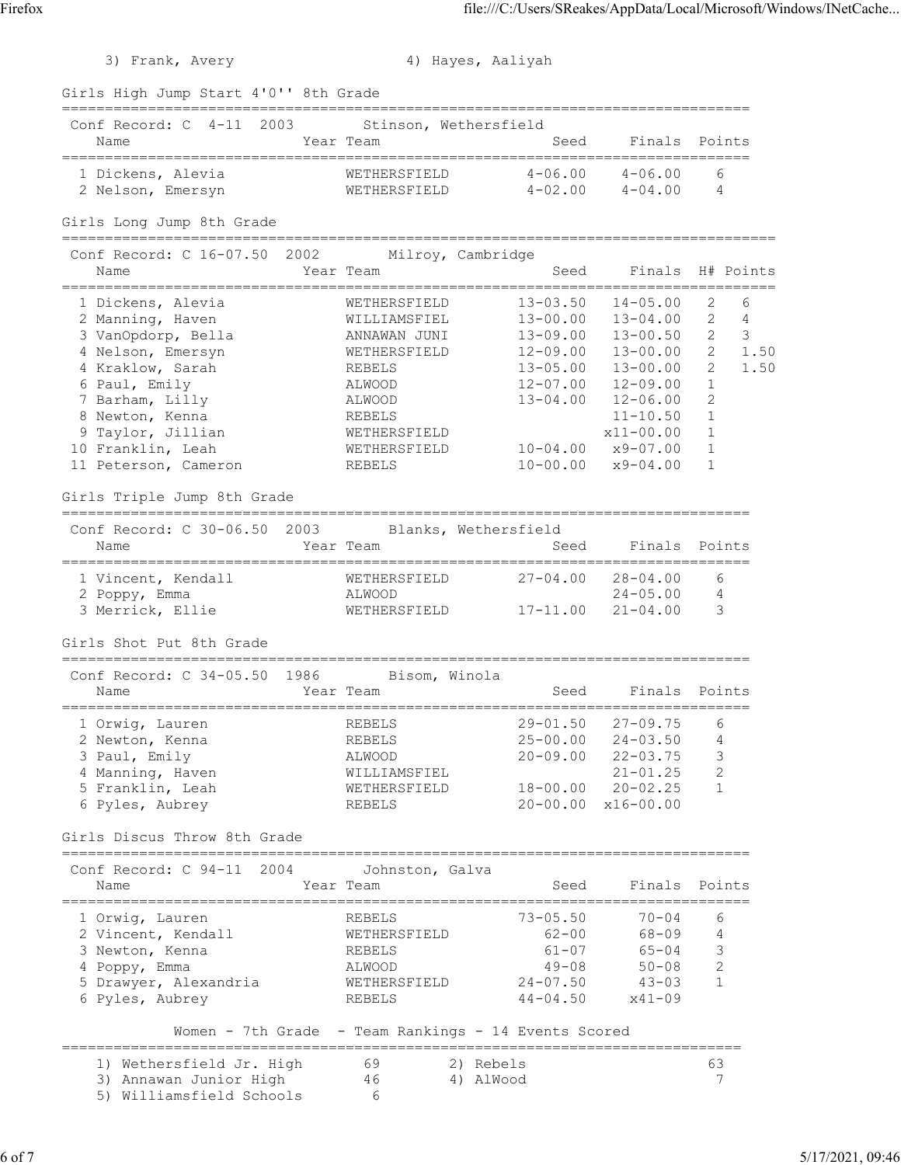| Frank, | Averv |
|--------|-------|

| 3) Frank, Avery                                               |                                                            | 4) Hayes, Aaliyah          |                                           |                              |
|---------------------------------------------------------------|------------------------------------------------------------|----------------------------|-------------------------------------------|------------------------------|
| Girls High Jump Start 4'0'' 8th Grade                         |                                                            |                            |                                           |                              |
| Conf Record: C 4-11 2003<br>Name<br>========================= | Stinson, Wethersfield<br>Year Team<br>=========            | Seed                       | Finals<br>------------                    | Points                       |
| 1 Dickens, Alevia<br>2 Nelson, Emersyn                        | WETHERSFIELD<br>WETHERSFIELD                               | $4 - 06.00$<br>$4 - 02.00$ | $4 - 06.00$<br>4-04.00                    | 6<br>4                       |
| Girls Long Jump 8th Grade<br>=====================            |                                                            |                            |                                           |                              |
| Conf Record: C 16-07.50<br>Name                               | ================<br>2002<br>Milroy, Cambridge<br>Year Team | Seed                       | Finals                                    | H# Points<br>$:=====$        |
| 1 Dickens, Alevia                                             | WETHERSFIELD                                               | $13 - 03.50$               | $14 - 05.00$                              | 2<br>6                       |
| 2 Manning, Haven                                              | WILLIAMSFIEL                                               | $13 - 00.00$               | $13 - 04.00$                              | $\overline{2}$<br>4          |
| 3 VanOpdorp, Bella                                            | ANNAWAN JUNI                                               | $13 - 09.00$               | $13 - 00.50$                              | $\overline{2}$<br>3          |
| 4 Nelson, Emersyn                                             | WETHERSFIELD                                               | $12 - 09.00$               | $13 - 00.00$                              | $\overline{2}$<br>1.50       |
| 4 Kraklow, Sarah                                              | REBELS                                                     | $13 - 05.00$               | $13 - 00.00$                              | $\overline{2}$<br>1.50       |
| 6 Paul, Emily                                                 | ALWOOD                                                     | $12 - 07.00$               | $12 - 09.00$                              | 1                            |
| 7 Barham, Lilly                                               | ALWOOD                                                     | $13 - 04.00$               | $12 - 06.00$                              | $\overline{2}$               |
| 8 Newton, Kenna                                               | REBELS                                                     |                            | $11 - 10.50$                              | $\mathbf{1}$                 |
| 9 Taylor, Jillian                                             | WETHERSFIELD                                               |                            | $x11 - 00.00$                             | $\mathbf{1}$                 |
| 10 Franklin, Leah                                             | WETHERSFIELD                                               | $10 - 04.00$               | $x9 - 07.00$                              | $\mathbf{1}$<br>$\mathbf{1}$ |
| 11 Peterson, Cameron                                          | REBELS                                                     | $10 - 00.00$               | $x9 - 04.00$                              |                              |
| Girls Triple Jump 8th Grade                                   |                                                            |                            |                                           |                              |
| Conf Record: C 30-06.50<br>2003                               |                                                            | Blanks, Wethersfield       |                                           |                              |
| Name                                                          | Year Team                                                  | Seed                       | Finals<br>=============================== | Points                       |
| 1 Vincent, Kendall                                            | WETHERSFIELD                                               | $27 - 04.00$               | $28 - 04.00$                              | 6                            |
| 2 Poppy, Emma                                                 | ALWOOD                                                     |                            | $24 - 05.00$                              | 4                            |
| 3 Merrick, Ellie                                              | WETHERSFIELD                                               | $17 - 11.00$               | $21 - 04.00$                              | 3                            |
| Girls Shot Put 8th Grade                                      |                                                            |                            |                                           |                              |
| Conf Record: C 34-05.50<br>1986                               | Bisom, Winola                                              |                            |                                           |                              |
| Name                                                          | Year Team                                                  | Seed                       | Finals                                    | Points                       |
| ======================<br>1 Orwig, Lauren                     | REBELS                                                     | $29 - 01.50$               | $27 - 09.75$                              | 6                            |
| 2 Newton, Kenna                                               | REBELS                                                     | $25 - 00.00$               | $24 - 03.50$                              | 4                            |
| 3 Paul, Emily                                                 | ALWOOD                                                     | $20 - 09.00$               | $22 - 03.75$                              | $\mathsf 3$                  |
| 4 Manning, Haven                                              | WILLIAMSFIEL                                               |                            | $21 - 01.25$                              | 2                            |
| 5 Franklin, Leah                                              | WETHERSFIELD                                               | 18-00.00                   | $20 - 02.25$                              | $\mathbf{1}$                 |
| 6 Pyles, Aubrey                                               | REBELS                                                     | $20 - 00.00$               | $x16 - 00.00$                             |                              |
| Girls Discus Throw 8th Grade                                  |                                                            |                            |                                           |                              |
| Conf Record: C 94-11 2004                                     | Johnston, Galva                                            |                            |                                           |                              |
| Name                                                          | Year Team                                                  | Seed                       | Finals                                    | Points                       |
| 1 Orwig, Lauren                                               | REBELS                                                     | $73 - 05.50$               | $70 - 04$                                 | 6                            |
| 2 Vincent, Kendall                                            | WETHERSFIELD                                               | $62 - 00$                  | 68-09                                     | 4                            |
| 3 Newton, Kenna                                               | REBELS                                                     | $61 - 07$                  | $65 - 04$                                 | 3                            |
| 4 Poppy, Emma                                                 | ALWOOD                                                     | $49 - 08$                  | $50 - 08$                                 | 2                            |
| 5 Drawyer, Alexandria                                         | WETHERSFIELD                                               | 24-07.50                   | $43 - 03$                                 | $\mathbf{1}$                 |
| 6 Pyles, Aubrey                                               | REBELS                                                     | $44 - 04.50$               | $x41 - 09$                                |                              |
|                                                               | Women - 7th Grade - Team Rankings - 14 Events Scored       |                            |                                           |                              |
| 1) Wethersfield Jr. High                                      | 69                                                         | 2) Rebels                  |                                           | 63                           |
| 3) Annawan Junior High                                        | 46                                                         | 4) AlWood                  |                                           | 7                            |
| 5) Williamsfield Schools                                      | 6                                                          |                            |                                           |                              |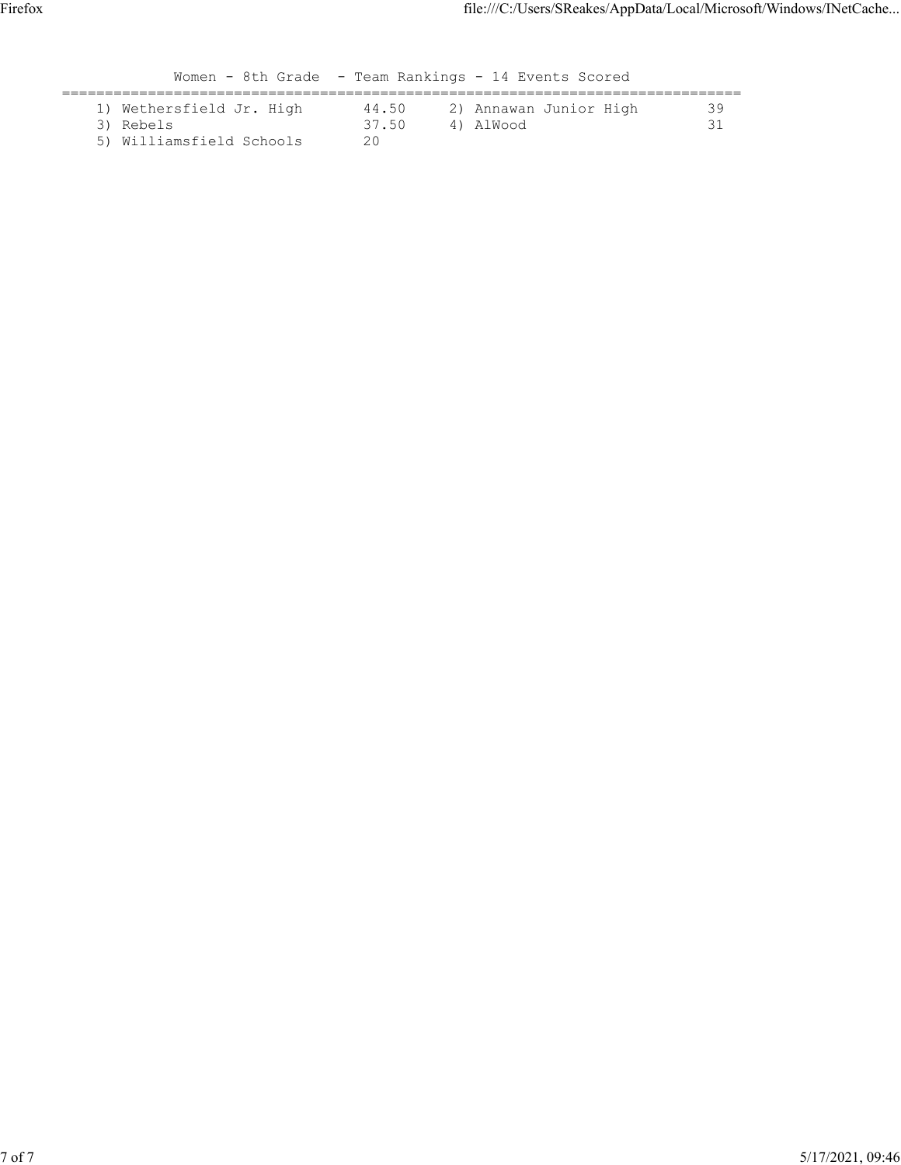|                                                                   |                      | Women - 8th Grade - Team Rankings - 14 Events Scored |    |
|-------------------------------------------------------------------|----------------------|------------------------------------------------------|----|
| 1) Wethersfield Jr. High<br>3) Rebels<br>5) Williamsfield Schools | 44.50<br>37.50<br>20 | 2) Annawan Junior High<br>4) AlWood                  | 39 |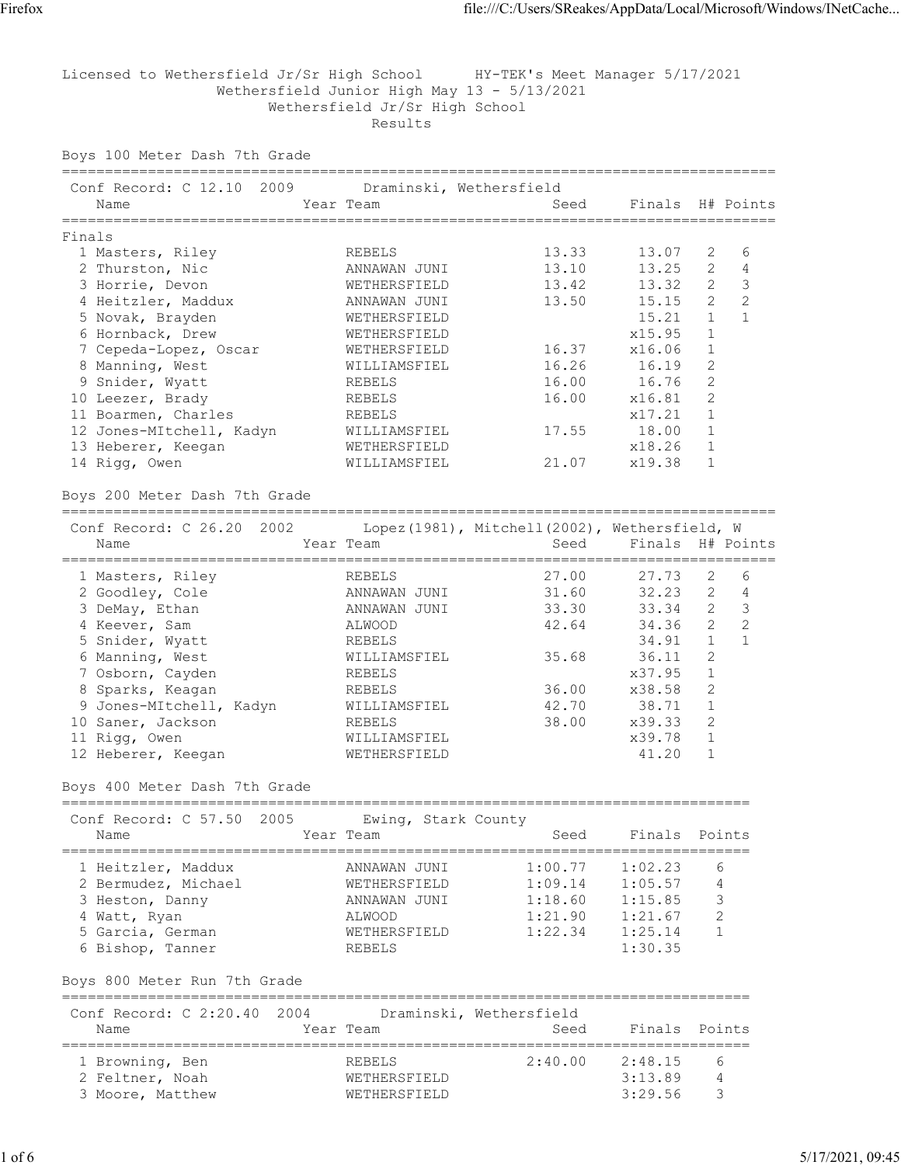Licensed to Wethersfield Jr/Sr High School HY-TEK's Meet Manager 5/17/2021 Wethersfield Junior High May 13 - 5/13/2021 Wethersfield Jr/Sr High School Results

Boys 100 Meter Dash 7th Grade

| Conf Record: C 12.10 2009     |           | Draminski, Wethersfield |       |                  |                |                |
|-------------------------------|-----------|-------------------------|-------|------------------|----------------|----------------|
| Name                          | Year Team |                         | Seed  | Finals H# Points |                |                |
| Finals                        |           |                         |       |                  |                |                |
| 1 Masters, Riley              |           | REBELS                  | 13.33 | 13.07            | 2              | 6              |
| 2 Thurston, Nic               |           | ANNAWAN JUNI            | 13.10 | 13.25            | $\overline{2}$ | $\overline{4}$ |
| 3 Horrie, Devon               |           | WETHERSFIELD            | 13.42 | 13.32            | $\overline{2}$ | 3              |
| 4 Heitzler, Maddux            |           | ANNAWAN JUNI            | 13.50 | 15.15            | $\overline{2}$ | 2              |
| 5 Novak, Brayden              |           | WETHERSFIELD            |       | 15.21            | $\mathbf{1}$   |                |
| 6 Hornback, Drew              |           | WETHERSFIELD            |       | x15.95           | $\mathbf{1}$   |                |
| 7 Cepeda-Lopez, Oscar         |           | WETHERSFIELD            | 16.37 | x16.06           | 1              |                |
| 8 Manning, West               |           | WILLIAMSFIEL            | 16.26 | 16.19            | 2              |                |
| 9 Snider, Wyatt               |           | REBELS                  | 16.00 | 16.76            | $\overline{2}$ |                |
| 10 Leezer, Brady              |           | REBELS                  | 16.00 | x16.81           | $\mathcal{D}$  |                |
| 11 Boarmen, Charles           |           | REBELS                  |       | x17.21           | $\mathbf{1}$   |                |
| 12 Jones-MItchell, Kadyn      |           | WILLIAMSFIEL            |       | 17.55 18.00      |                |                |
| 13 Heberer, Keegan            |           | WETHERSFIELD            |       | x18.26           | 1              |                |
| 14 Rigg, Owen                 |           | WILLIAMSFIEL            | 21.07 | x19.38           | 1              |                |
| Boys 200 Meter Dash 7th Grade |           |                         |       |                  |                |                |
|                               |           |                         |       |                  |                |                |

| Conf Record: C 26.20 2002 |                 | Lopez (1981), Mitchell (2002), Wethersfield, W |                  |                |   |
|---------------------------|-----------------|------------------------------------------------|------------------|----------------|---|
| Name                      | Year Team       | Seed                                           | Finals H# Points |                |   |
|                           |                 |                                                |                  |                |   |
| 1 Masters, Riley          | REBELS          | 27.00                                          | 27.73            | 2              | 6 |
| 2 Goodley, Cole           | JUNI<br>ANNAWAN | 31.60                                          | $32.23$ 2        |                | 4 |
| 3 DeMay, Ethan            | ANNAWAN JUNI    | 33.30                                          | 33.34            | $\overline{2}$ | 3 |
| 4 Keever, Sam             | ALWOOD          | 42.64                                          | 34.36            | 2              | 2 |
| 5 Snider, Wyatt           | REBELS          |                                                | 34.91            |                |   |
| 6 Manning, West           | WILLIAMSFIEL    | 35.68                                          | 36.11            | 2              |   |
| 7 Osborn, Cayden          | REBELS          |                                                | x37.95           |                |   |
| 8 Sparks, Keagan          | REBELS          | 36.00                                          | x38.58           | 2              |   |
| 9 Jones-MItchell, Kadyn   | WILLIAMSFIEL    | 42.70                                          | 38.71            |                |   |
| 10 Saner, Jackson         | REBELS          | 38.00                                          | x39.33           | 2              |   |
| 11 Rigg, Owen             | WILLIAMSFIEL    |                                                | x39.78           |                |   |
| 12 Heberer, Keegan        | WETHERSFIELD    |                                                | 41.20            |                |   |

# Boys 400 Meter Dash 7th Grade

| Conf Record: C 57.50 2005<br>Name                                                                                    | Ewing, Stark County<br>Year Team                                                        | Seed                                                | Finals                                                         | Points           |
|----------------------------------------------------------------------------------------------------------------------|-----------------------------------------------------------------------------------------|-----------------------------------------------------|----------------------------------------------------------------|------------------|
| 1 Heitzler, Maddux<br>2 Bermudez, Michael<br>3 Heston, Danny<br>4 Watt, Ryan<br>5 Garcia, German<br>6 Bishop, Tanner | ANNAWAN JUNI<br>WETHERSFIELD<br>ANNAWAN JUNI<br>ALWOOD<br>WETHERSFIELD<br><b>REBELS</b> | 1:00.77<br>1:09.14<br>1:18.60<br>1:21.90<br>1:22.34 | 1:02.23<br>1:05.57<br>1:15.85<br>1:21.67<br>1:25.14<br>1:30.35 | 6<br>4<br>3<br>っ |

Boys 800 Meter Run 7th Grade

| Conf Record: C 2:20.40 2004<br>Name                    | Year Team                                     | Draminski, Wethersfield<br>Seed | Finals Points                 |            |
|--------------------------------------------------------|-----------------------------------------------|---------------------------------|-------------------------------|------------|
| 1 Browning, Ben<br>2 Feltner, Noah<br>3 Moore, Matthew | REBELS<br><b>WETHERSFIELD</b><br>WETHERSFIELD | 2:40.00                         | 2:48.15<br>3:13.89<br>3:29.56 | $\epsilon$ |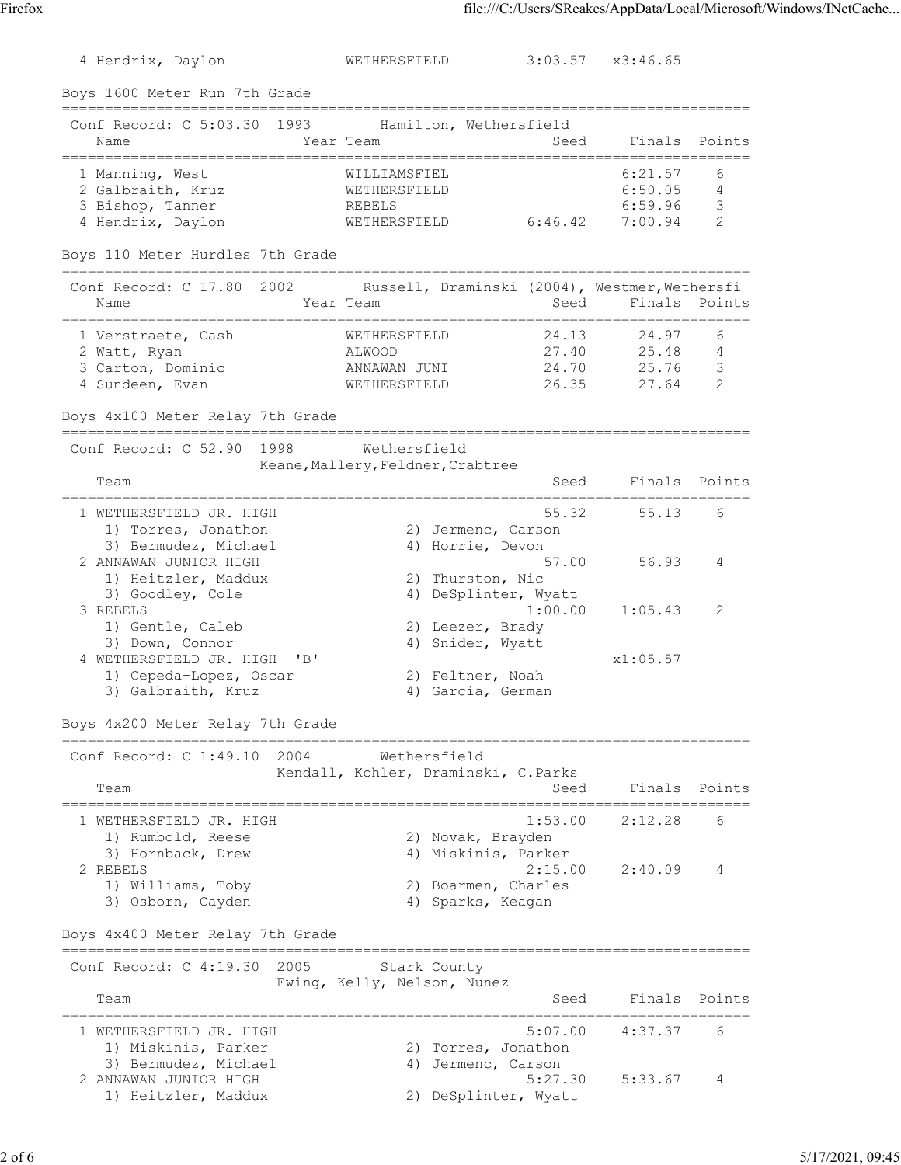4 Hendrix, Daylon WETHERSFIELD 3:03.57 x3:46.65 Boys 1600 Meter Run 7th Grade ================================================================================ Conf Record: C 5:03.30 1993 Hamilton, Wethersfield Name Tear Team Seed Finals Points ================================================================================ 1 Manning, West WILLIAMSFIEL 6:21.57 6 2 Galbraith, Kruz WETHERSFIELD 6:50.05 4 3 Bishop, Tanner REBELS 6:59.96 3 4 Hendrix, Daylon WETHERSFIELD 6:46.42 7:00.94 2 Boys 110 Meter Hurdles 7th Grade ================================================================================ Conf Record: C 17.80 2002 Russell, Draminski (2004), Westmer, Wethersfi Name **Sexet Sear Team** Seed Finals Points ================================================================================ 1 Verstraete, Cash WETHERSFIELD 24.13 24.97 6 2 Watt, Ryan ALWOOD 27.40 25.48 4 3 Carton, Dominic ANNAWAN JUNI 24.70 25.76 3 4 Sundeen, Evan WETHERSFIELD 26.35 27.64 2 Boys 4x100 Meter Relay 7th Grade ================================================================================ Conf Record: C 52.90 1998 Wethersfield Keane, Mallery, Feldner, Crabtree Team **Seed** Finals Points ================================================================================ 1 55.32 55.13 6 1) Torres, Jonathon 2) Jermenc, Carson 3) Bermudez, Michael (4) Horrie, Devon 2 ANNAWAN JUNIOR HIGH 57.00 56.93 4 1) Heitzler, Maddux 2) Thurston, Nic 3) Goodley, Cole 4) DeSplinter, Wyatt 3 REBELS 1:00.00 1:05.43 2 1) Gentle, Caleb 2) Leezer, Brady 1) Gentle, Caleb (1999)<br>3) Down, Connor (2) Snider, Wyatt (3) Allown, Connor (1999) (1999)<br>4) Snider, Wyatt (1999) (1999) (1999) (1999) (1999) (1999) (1999) (1999) (1999) (1999) (1999) (1999) (1999) (1 4 WETHERSFIELD JR. HIGH 'B' x1:05.57 1) Cepeda-Lopez, Oscar (2) Feltner, Noah 3) Galbraith, Kruz (4) Garcia, German Boys 4x200 Meter Relay 7th Grade ================================================================================ Conf Record: C 1:49.10 2004 Wethersfield Kendall, Kohler, Draminski, C.Parks Team Team Channell, Control, Stammond, Corrective Seed Finals Points ================================================================================ 1 WETHERSFIELD JR. HIGH 1:53.00 2:12.28 6<br>1) Rumbold, Reese 2) Novak, Brayden<br>3) Hornback, Drew 3, Hornback, Drew 4) Miskinis, Parker 1) Rumbold, Reese 2) Novak, Brayden 3) Hornback, Drew (4) Miskinis, Parker 2 REBELS 2:15.00 2:40.09 4 1) Williams, Toby 2) Boarmen, Charles 3) Osborn, Cayden 1988 (4) Sparks, Keagan Boys 4x400 Meter Relay 7th Grade ================================================================================ Conf Record: C 4:19.30 2005 Stark County Ewing, Kelly, Nelson, Nunez<br>Team Seed Finals Points ================================================================================ 1 WETHERSFIELD JR. HIGH 5:07.00 4:37.37 6 1) Miskinis, Parker 2) Torres, Jonathon 3) Bermudez, Michael (4) Jermenc, Carson 2 ANNAWAN JUNIOR HIGH 5:27.30 5:33.67 4 1) Heitzler, Maddux 2) DeSplinter, Wyatt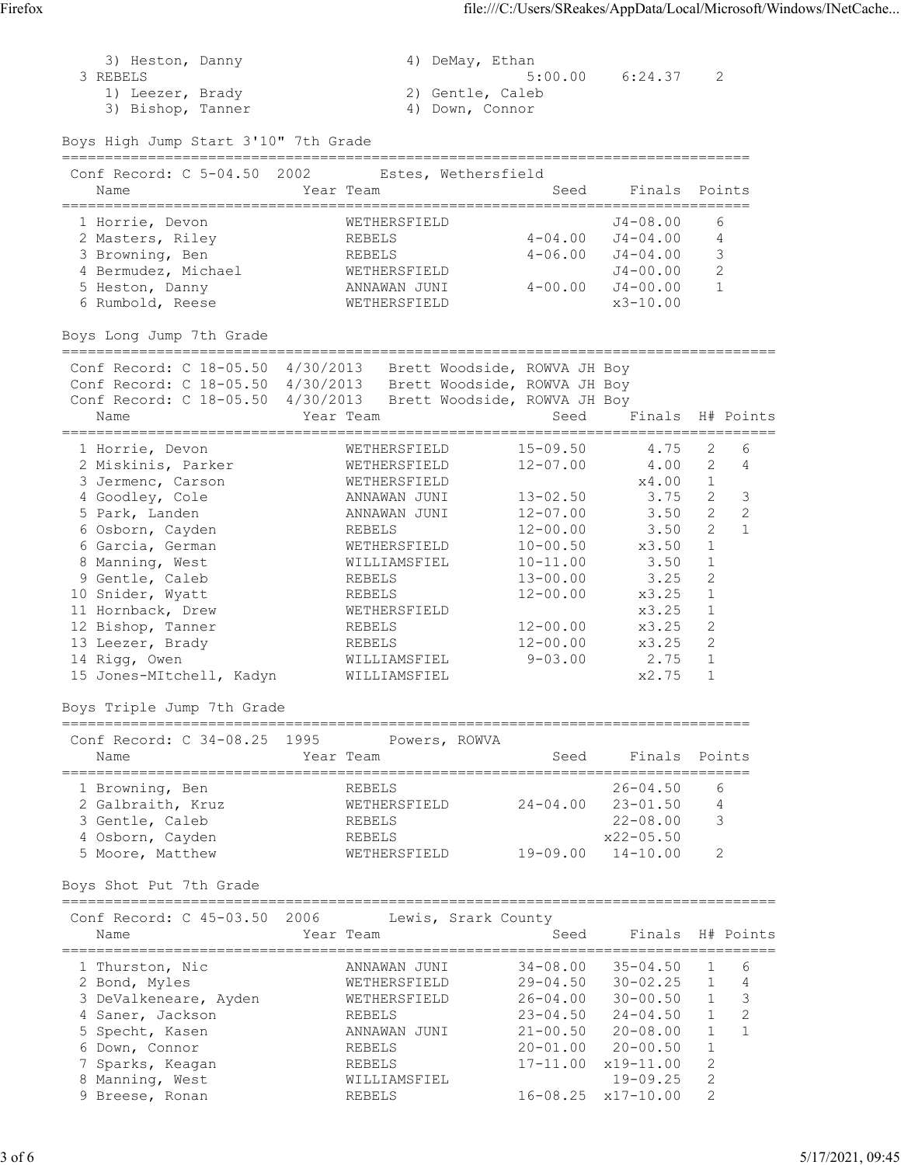| 3) Heston, Danny<br>3 REBELS<br>1) Leezer, Brady<br>3) Bishop, Tanner<br>Boys High Jump Start 3'10" 7th Grade                                                                                                                                                                                                                              |                   |                                                                                                                                                                                                                | 4) DeMay, Ethan<br>2) Gentle, Caleb<br>4) Down, Connor                                                                                                                                      | $5:00.00$ $6:24.37$                                                                                                         | 2                                                                                                                                                                                                                               |  |
|--------------------------------------------------------------------------------------------------------------------------------------------------------------------------------------------------------------------------------------------------------------------------------------------------------------------------------------------|-------------------|----------------------------------------------------------------------------------------------------------------------------------------------------------------------------------------------------------------|---------------------------------------------------------------------------------------------------------------------------------------------------------------------------------------------|-----------------------------------------------------------------------------------------------------------------------------|---------------------------------------------------------------------------------------------------------------------------------------------------------------------------------------------------------------------------------|--|
|                                                                                                                                                                                                                                                                                                                                            |                   |                                                                                                                                                                                                                |                                                                                                                                                                                             |                                                                                                                             |                                                                                                                                                                                                                                 |  |
| Conf Record: C 5-04.50 2002<br>Name                                                                                                                                                                                                                                                                                                        | Year Team         | Estes, Wethersfield                                                                                                                                                                                            | Seed                                                                                                                                                                                        | Finals                                                                                                                      | Points                                                                                                                                                                                                                          |  |
| 1 Horrie, Devon<br>2 Masters, Riley<br>3 Browning, Ben<br>4 Bermudez, Michael<br>5 Heston, Danny<br>6 Rumbold, Reese                                                                                                                                                                                                                       |                   | WETHERSFIELD<br>REBELS<br>REBELS<br>WETHERSFIELD<br>ANNAWAN JUNI<br>WETHERSFIELD                                                                                                                               | $4 - 04.00$<br>$4 - 06.00$<br>$4 - 00.00$                                                                                                                                                   | $J4 - 08.00$<br>$J4 - 04.00$<br>$J4 - 04.00$<br>J4-00.00<br>J4-00.00<br>$x3 - 10.00$                                        | 6<br>$\overline{4}$<br>3<br>2<br>$\mathbf{1}$                                                                                                                                                                                   |  |
| Boys Long Jump 7th Grade                                                                                                                                                                                                                                                                                                                   |                   |                                                                                                                                                                                                                |                                                                                                                                                                                             |                                                                                                                             |                                                                                                                                                                                                                                 |  |
| Conf Record: C 18-05.50 4/30/2013 Brett Woodside, ROWVA JH Boy<br>Conf Record: C 18-05.50 4/30/2013 Brett Woodside, ROWVA JH Boy<br>Conf Record: C 18-05.50 4/30/2013 Brett Woodside, ROWVA JH Boy<br>Name                                                                                                                                 | Year Team         |                                                                                                                                                                                                                | Seed                                                                                                                                                                                        | ============================                                                                                                | Finals H# Points                                                                                                                                                                                                                |  |
| 1 Horrie, Devon<br>2 Miskinis, Parker<br>3 Jermenc, Carson<br>4 Goodley, Cole<br>5 Park, Landen<br>6 Osborn, Cayden<br>6 Garcia, German<br>8 Manning, West<br>9 Gentle, Caleb<br>10 Snider, Wyatt<br>11 Hornback, Drew<br>12 Bishop, Tanner<br>13 Leezer, Brady<br>14 Rigg, Owen<br>15 Jones-MItchell, Kadyn<br>Boys Triple Jump 7th Grade |                   | WETHERSFIELD<br>WETHERSFIELD<br>WETHERSFIELD<br>ANNAWAN JUNI<br>ANNAWAN JUNI<br>REBELS<br>WETHERSFIELD<br>WILLIAMSFIEL<br>REBELS<br>REBELS<br>WETHERSFIELD<br>REBELS<br>REBELS<br>WILLIAMSFIEL<br>WILLIAMSFIEL | $15 - 09.50$<br>$12 - 07.00$<br>$13 - 02.50$<br>$12 - 07.00$<br>$12 - 00.00$<br>$10 - 00.50$<br>$10 - 11.00$<br>$13 - 00.00$<br>$12 - 00.00$<br>$12 - 00.00$<br>$12 - 00.00$<br>$9 - 03.00$ | 4.75<br>4.00<br>x4.00<br>3.75<br>3.50<br>3.50<br>x3.50<br>3.50<br>3.25<br>x3.25<br>x3.25<br>x3.25<br>x3.25<br>2.75<br>x2.75 | 2<br>6<br>$\overline{2}$<br>4<br>1<br>$\overline{2}$<br>3<br>$\mathbf{2}^{\prime}$<br>$\mathbf{2}$<br>$\overline{2}$<br>$\mathbf{1}$<br>$\mathbf{1}$<br>1<br>2<br>1<br>1<br>2<br>$\overline{c}$<br>$\mathbf{1}$<br>$\mathbf{1}$ |  |
| Conf Record: C 34-08.25<br>Name                                                                                                                                                                                                                                                                                                            | 1995<br>Year Team | Powers, ROWVA                                                                                                                                                                                                  | Seed                                                                                                                                                                                        | Finals                                                                                                                      | Points                                                                                                                                                                                                                          |  |
| 1 Browning, Ben<br>2 Galbraith, Kruz<br>3 Gentle, Caleb<br>4 Osborn, Cayden<br>5 Moore, Matthew<br>Boys Shot Put 7th Grade                                                                                                                                                                                                                 |                   | REBELS<br>WETHERSFIELD<br>REBELS<br>REBELS<br>WETHERSFIELD                                                                                                                                                     | $24 - 04.00$<br>$19 - 09.00$                                                                                                                                                                | $26 - 04.50$<br>$23 - 01.50$<br>$22 - 08.00$<br>$x22 - 05.50$<br>$14 - 10.00$                                               | 6<br>4<br>3<br>2                                                                                                                                                                                                                |  |
| Conf Record: C 45-03.50<br>Name                                                                                                                                                                                                                                                                                                            | 2006<br>Year Team |                                                                                                                                                                                                                | Lewis, Srark County<br>Seed                                                                                                                                                                 | Finals                                                                                                                      | H# Points                                                                                                                                                                                                                       |  |
| 1 Thurston, Nic<br>2 Bond, Myles<br>3 DeValkeneare, Ayden<br>4 Saner, Jackson<br>5 Specht, Kasen<br>6 Down, Connor<br>7 Sparks, Keagan                                                                                                                                                                                                     |                   | ANNAWAN JUNI<br>WETHERSFIELD<br>WETHERSFIELD<br>REBELS<br>ANNAWAN JUNI<br>REBELS<br>REBELS                                                                                                                     | $34 - 08.00$<br>$29 - 04.50$<br>$26 - 04.00$<br>$23 - 04.50$<br>$21 - 00.50$<br>$20 - 01.00$<br>17-11.00                                                                                    | $35 - 04.50$<br>$30 - 02.25$<br>$30 - 00.50$<br>$24 - 04.50$<br>$20 - 08.00$<br>$20 - 00.50$<br>x19-11.00                   | 6<br>$\mathbf{1}$<br>1<br>4<br>$\mathcal{S}$<br>1<br>$\overline{c}$<br>$\mathbf 1$<br>$\mathbf{1}$<br>1<br>1<br>$\overline{2}$                                                                                                  |  |

 8 Manning, West WILLIAMSFIEL 19-09.25 2 9 Breese, Ronan REBELS 16-08.25 x17-10.00 2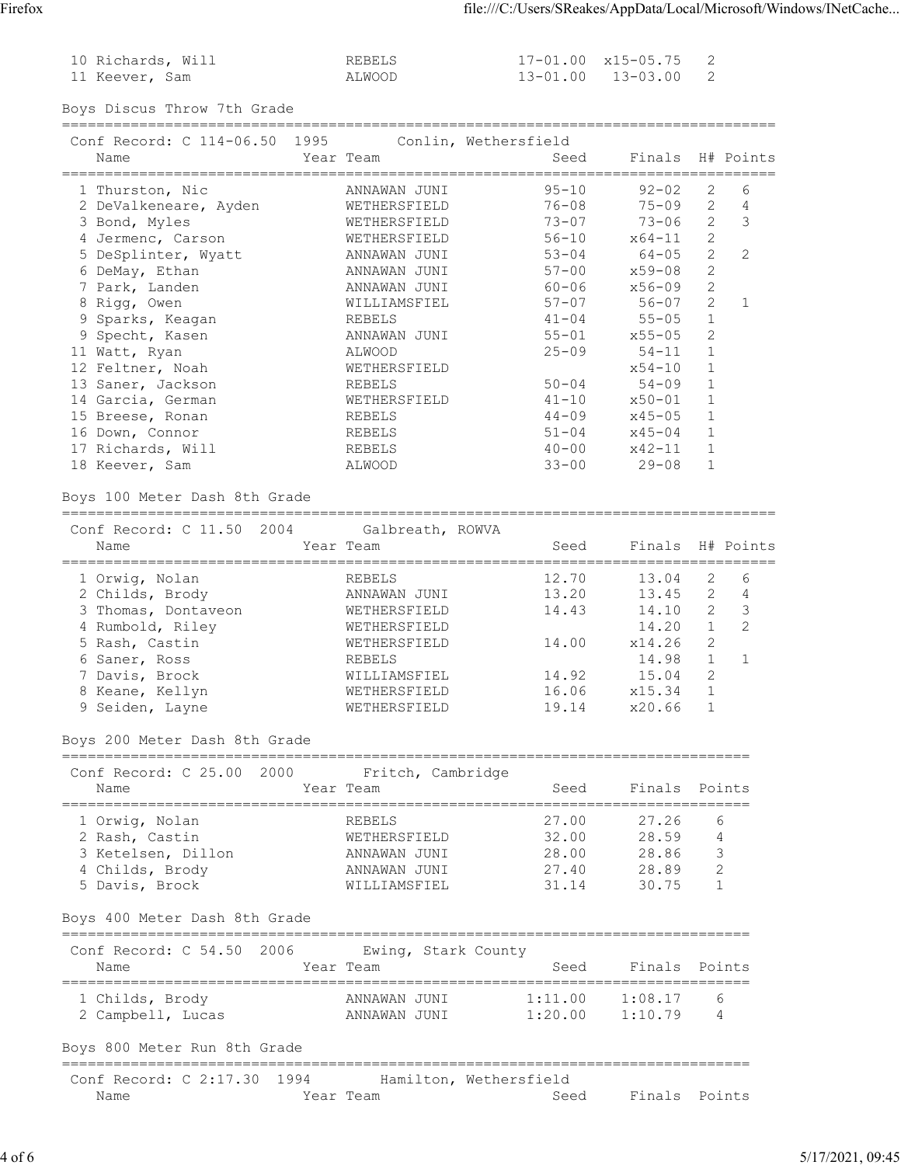| 10 Richards, Will | REBELS |
|-------------------|--------|
| 11 Keever, Sam    | ALWOOD |

 $17 - 01.00$   $x15 - 05.75$  2  $13 - 01.00$   $13 - 03.00$  2

Boys Discus Throw 7th Grade ===================================================================================

| Conf Record: C 114-06.50 1995<br>Name | Year Team    | Conlin, Wethersfield<br>Seed | Finals H# Points |                |               |
|---------------------------------------|--------------|------------------------------|------------------|----------------|---------------|
| 1 Thurston, Nic                       | ANNAWAN JUNI | $95 - 10$                    | $92 - 02$        | 2              | 6             |
| 2 DeValkeneare, Ayden                 | WETHERSFIELD | 76-08                        | 75-09            | 2              | 4             |
| 3 Bond, Myles                         | WETHERSFIELD | $73 - 07$                    | $73 - 06$        | $\overline{2}$ | 3             |
| 4 Jermenc, Carson                     | WETHERSFIELD | $56 - 10$                    | $x64 - 11$       | 2              |               |
| 5 DeSplinter, Wyatt                   | ANNAWAN JUNI | $53 - 04$                    | 64-05            | $\overline{2}$ | $\mathcal{L}$ |
| 6 DeMay, Ethan                        | ANNAWAN JUNI | $57 - 00$                    | x59-08           | $\overline{2}$ |               |
| 7 Park, Landen                        | ANNAWAN JUNI | 60-06                        | x56-09           | 2              |               |
| 8 Rigg, Owen                          | WILLIAMSFIEL | $57 - 07$                    | $56 - 07$        | $\overline{2}$ |               |
| 9 Sparks, Keagan                      | REBELS       | $41 - 04$                    | 55-05            | $\mathbf{1}$   |               |
| 9 Specht, Kasen                       | ANNAWAN JUNI | $55 - 01$                    | x55-05           | 2              |               |
| 11 Watt, Ryan                         | ALWOOD       | $25 - 09$                    | $54 - 11$        | $\mathbf{1}$   |               |
| 12 Feltner, Noah                      | WETHERSFIELD |                              | $x54 - 10$       |                |               |
| 13 Saner, Jackson                     | REBELS       | $50 - 04$                    | $54 - 09$        | 1              |               |
| 14 Garcia, German                     | WETHERSFIELD | $41 - 10$                    | x50-01           | $\mathbf{1}$   |               |
| 15 Breese, Ronan                      | REBELS       | $44 - 09$                    | x45-05           | $\mathbf{1}$   |               |
| 16 Down, Connor                       | REBELS       | $51 - 04$                    | $x45 - 04$       | 1              |               |
| 17 Richards, Will                     | REBELS       | $40 - 00$                    | x42-11           | 1              |               |
| 18 Keever, Sam                        | ALWOOD       | $33 - 00$                    | $29 - 08$        |                |               |

## Boys 100 Meter Dash 8th Grade

=================================================================================== Conf Record: C 11.50 2004 Galbreath, ROWVA Name Sear Team Seed Finals H# Points =================================================================================== 1 Orwig, Nolan REBELS 12.70 13.04 2 6 2 Childs, Brody ANNAWAN JUNI 13.20 13.45 2 4 3 Thomas, Dontaveon 6 METHERSFIELD 14.43 14.10 2 3 4 Rumbold, Riley WETHERSFIELD 14.20 1 2 5 Rash, Castin WETHERSFIELD 14.00 x14.26 2 6 Saner, Ross REBELS 14.98 1 1 7 Davis, Brock WILLIAMSFIEL 14.92 15.04 2 8 Keane, Kellyn WETHERSFIELD 16.06 x15.34 1 9 Seiden, Layne WETHERSFIELD 19.14 x20.66 1

### Boys 200 Meter Dash 8th Grade

| Conf Record: C 25.00 2000<br>Name | Fritch, Cambridge<br>Year Team | Seed  | Finals Points |   |
|-----------------------------------|--------------------------------|-------|---------------|---|
| 1 Orwig, Nolan                    | <b>REBELS</b>                  | 27.00 | 27.26         | 6 |
| 2 Rash, Castin                    | WETHERSFIELD                   | 32.00 | 28.59         | 4 |
| 3 Ketelsen, Dillon                | ANNAWAN JUNI                   | 28.00 | 28.86         | 3 |
| 4 Childs, Brody                   | ANNAWAN JUNI                   | 27.40 | 28.89         |   |
| 5 Davis, Brock                    | WILLIAMSFIEL                   | 31.14 | 30.75         |   |

#### Boys 400 Meter Dash 8th Grade

#### ================================================================================ Conf Record: C 54.50 2006 Ewing, Stark County<br>Name<br>Year Team Name The Year Team Seed Finals Points

| <u>ivaine</u>                | $\pm$ $\sqrt{111}$ $\pm$ $\sqrt{1111}$ | .       | L THUTH LUINLU |                |
|------------------------------|----------------------------------------|---------|----------------|----------------|
| 1 Childs, Brody              | ANNAWAN JUNI                           | 1:11.00 | 1:08.17        | $\kappa$       |
| 2 Campbell, Lucas            | INNAWAN JUNT                           | 1:20.00 | 1:10.79        | $\overline{4}$ |
| Boys 800 Meter Run 8th Grade |                                        |         |                |                |
|                              |                                        |         |                |                |

| Conf Record: C 2:17.30 1994 |           | Hamilton, Wethersfield |                    |  |
|-----------------------------|-----------|------------------------|--------------------|--|
| Name                        | Year Team |                        | Seed Finals Points |  |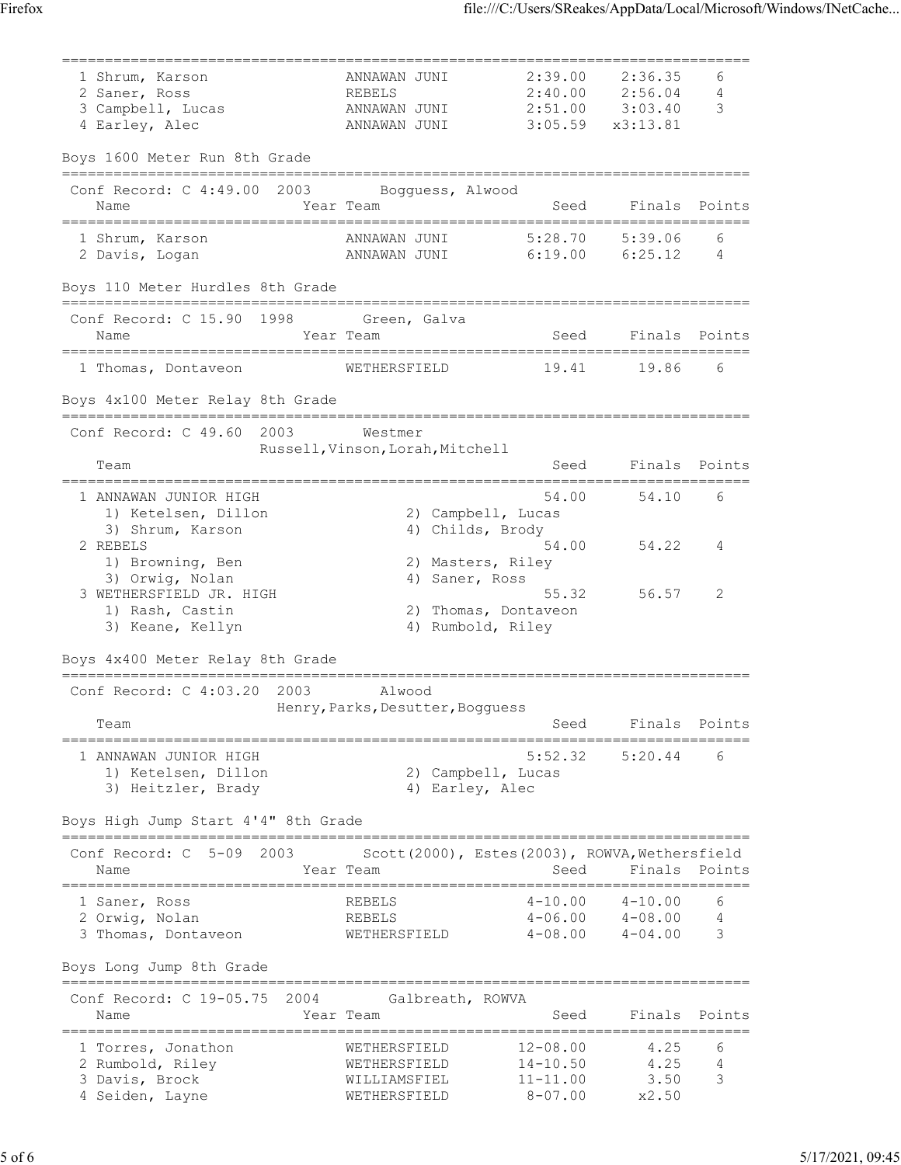| 1 Shrum, Karson                                             | ANNAWAN JUNI                                    | 2:39.00                                | 2:36.35  | 6             |
|-------------------------------------------------------------|-------------------------------------------------|----------------------------------------|----------|---------------|
| 2 Saner, Ross                                               | <b>REBELS</b>                                   | 2:40.00                                | 2:56.04  | 4             |
| 3 Campbell, Lucas                                           | ANNAWAN JUNI                                    | 2:51.00                                | 3:03.40  | 3             |
| 4 Earley, Alec                                              | ANNAWAN JUNI                                    | 3:05.59                                | x3:13.81 |               |
| Boys 1600 Meter Run 8th Grade<br>========================== |                                                 |                                        |          |               |
| Conf Record: $C$ 4:49.00<br>2003<br>Name                    | Bogguess, Alwood<br>Year Team                   | Seed                                   | Finals   | Points        |
|                                                             | =====================                           |                                        |          |               |
| 1 Shrum, Karson                                             | ANNAWAN JUNI                                    | 5:28.70                                | 5:39.06  | 6             |
| 2 Davis, Logan                                              | ANNAWAN JUNI                                    | 6:19.00                                | 6:25.12  | 4             |
| Boys 110 Meter Hurdles 8th Grade                            |                                                 |                                        |          |               |
| Conf Record: C 15.90 1998 Green, Galva                      |                                                 |                                        |          |               |
| Name<br>._____________                                      | Year Team                                       | Seed                                   |          | Finals Points |
| 1 Thomas, Dontaveon                                         | WETHERSFIELD                                    | 19.41                                  | 19.86    | 6             |
| Boys 4x100 Meter Relay 8th Grade                            |                                                 |                                        |          |               |
|                                                             |                                                 |                                        |          |               |
| Conf Record: C 49.60<br>2003                                | Westmer                                         |                                        |          |               |
| Team                                                        | Russell, Vinson, Lorah, Mitchell                | Seed                                   | Finals   | Points        |
|                                                             |                                                 |                                        |          |               |
| 1 ANNAWAN JUNIOR HIGH                                       |                                                 | 54.00                                  | 54.10    | 6             |
| 1) Ketelsen, Dillon<br>3) Shrum, Karson                     | 2) Campbell, Lucas<br>4) Childs, Brody          |                                        |          |               |
| 2 REBELS                                                    |                                                 | 54.00                                  | 54.22    | 4             |
| 1) Browning, Ben                                            | 2) Masters, Riley                               |                                        |          |               |
| 3) Orwig, Nolan                                             | 4) Saner, Ross                                  |                                        |          |               |
| 3 WETHERSFIELD JR. HIGH                                     |                                                 | 55.32                                  | 56.57    | 2             |
| 1) Rash, Castin                                             | 2) Thomas, Dontaveon                            |                                        |          |               |
| 3) Keane, Kellyn                                            | 4) Rumbold, Riley                               |                                        |          |               |
| Boys 4x400 Meter Relay 8th Grade                            |                                                 |                                        |          |               |
| Conf Record: $C$ 4:03.20<br>2003                            | Alwood                                          |                                        |          |               |
|                                                             | Henry, Parks, Desutter, Bogguess                |                                        |          |               |
| Team                                                        |                                                 | Seed                                   | Finals   | Points        |
| 1 ANNAWAN JUNIOR HIGH                                       |                                                 | 5:52.32                                | 5:20.44  | 6             |
| 1) Ketelsen, Dillon                                         | 2) Campbell, Lucas                              |                                        |          |               |
| 3) Heitzler, Brady                                          | 4) Earley, Alec                                 |                                        |          |               |
| Boys High Jump Start 4'4" 8th Grade                         |                                                 | -------------------------------------- |          |               |
| Conf Record: C<br>$5 - 09$<br>2003                          | Scott (2000), Estes (2003), ROWVA, Wethersfield |                                        |          |               |
| Name                                                        | Year Team                                       | Seed                                   |          | Finals Points |
| 1 Saner, Ross                                               | ================<br>REBELS                      | $4 - 10.00$                            | 4-10.00  | 6             |
| 2 Orwig, Nolan                                              | REBELS                                          | $4 - 06.00$                            | 4-08.00  | 4             |
| 3 Thomas, Dontaveon                                         | WETHERSFIELD                                    | $4 - 08.00$                            | 4-04.00  | 3             |
| Boys Long Jump 8th Grade                                    |                                                 |                                        |          |               |
| Conf Record: C 19-05.75 2004                                | Galbreath, ROWVA                                |                                        |          |               |
| Name                                                        | Year Team                                       | Seed                                   | Finals   | Points        |
| 1 Torres, Jonathon                                          | WETHERSFIELD                                    | $12 - 08.00$                           | 4.25     | 6             |
| 2 Rumbold, Riley                                            | WETHERSFIELD                                    | $14 - 10.50$                           | 4.25     | 4             |
| 3 Davis, Brock                                              | WILLIAMSFIEL                                    | $11 - 11.00$                           | 3.50     | 3             |
| 4 Seiden, Layne                                             | WETHERSFIELD                                    | $8 - 07.00$                            | x2.50    |               |